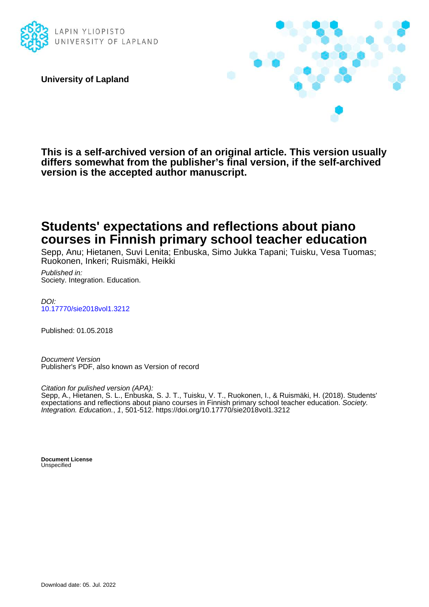

**University of Lapland**



**This is a self-archived version of an original article. This version usually differs somewhat from the publisher's final version, if the self-archived version is the accepted author manuscript.**

## **Students' expectations and reflections about piano courses in Finnish primary school teacher education**

Sepp, Anu; Hietanen, Suvi Lenita; Enbuska, Simo Jukka Tapani; Tuisku, Vesa Tuomas; Ruokonen, Inkeri; Ruismäki, Heikki

Published in: Society. Integration. Education.

DOI: [10.17770/sie2018vol1.3212](https://doi.org/10.17770/sie2018vol1.3212)

Published: 01.05.2018

Document Version Publisher's PDF, also known as Version of record

Citation for pulished version (APA):

Sepp, A., Hietanen, S. L., Enbuska, S. J. T., Tuisku, V. T., Ruokonen, I., & Ruismäki, H. (2018). Students' expectations and reflections about piano courses in Finnish primary school teacher education. Society. Integration. Education., 1, 501-512. <https://doi.org/10.17770/sie2018vol1.3212>

**Document License Unspecified**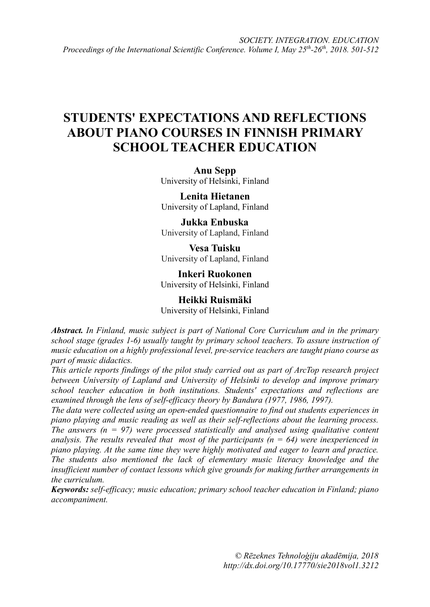# **STUDENTS' EXPECTATIONS AND REFLECTIONS ABOUT PIANO COURSES IN FINNISH PRIMARY SCHOOL TEACHER EDUCATION**

**Anu Sepp** University of Helsinki, Finland

**Lenita Hietanen** University of Lapland, Finland

**Jukka Enbuska** University of Lapland, Finland

**Vesa Tuisku** University of Lapland, Finland

**Inkeri Ruokonen** University of Helsinki, Finland

**Heikki Ruismäki** University of Helsinki, Finland

*Abstract. In Finland, music subject is part of National Core Curriculum and in the primary school stage (grades 1-6) usually taught by primary school teachers. To assure instruction of music education on a highly professional level, pre-service teachers are taught piano course as part of music didactics.*

*This article reports findings of the pilot study carried out as part of ArcTop research project between University of Lapland and University of Helsinki to develop and improve primary school teacher education in both institutions. Students' expectations and reflections are examined through the lens of self-efficacy theory by Bandura (1977, 1986, 1997).*

*The data were collected using an open-ended questionnaire to find out students experiences in piano playing and music reading as well as their self-reflections about the learning process. The answers (n = 97) were processed statistically and analysed using qualitative content analysis. The results revealed that most of the participants (* $n = 64$ *) were inexperienced in piano playing. At the same time they were highly motivated and eager to learn and practice. The students also mentioned the lack of elementary music literacy knowledge and the insufficient number of contact lessons which give grounds for making further arrangements in the curriculum.* 

*Keywords: self-efficacy; music education; primary school teacher education in Finland; piano accompaniment.*

> *© Rēzeknes Tehnoloģiju akadēmija, 2018 <http://dx.doi.org/10.17770/sie2018vol1.3212>*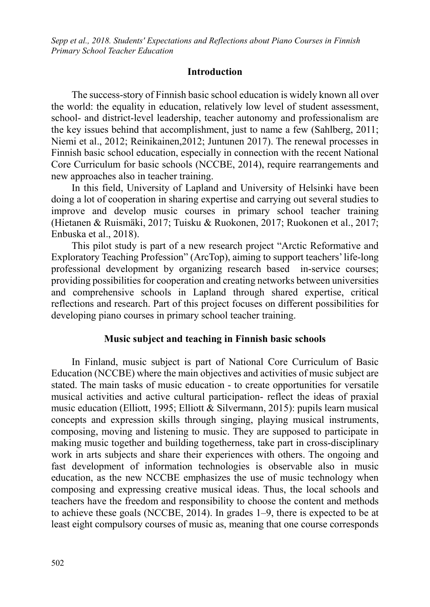#### **Introduction**

The success-story of Finnish basic school education is widely known all over the world: the equality in education, relatively low level of student assessment, school- and district-level leadership, teacher autonomy and professionalism are the key issues behind that accomplishment, just to name a few (Sahlberg, 2011; Niemi et al., 2012; Reinikainen,2012; Juntunen 2017). The renewal processes in Finnish basic school education, especially in connection with the recent National Core Curriculum for basic schools (NCCBE, 2014), require rearrangements and new approaches also in teacher training.

In this field, University of Lapland and University of Helsinki have been doing a lot of cooperation in sharing expertise and carrying out several studies to improve and develop music courses in primary school teacher training (Hietanen & Ruismäki, 2017; Tuisku & Ruokonen, 2017; Ruokonen et al., 2017; Enbuska et al., 2018).

This pilot study is part of a new research project "Arctic Reformative and Exploratory Teaching Profession" (ArcTop), aiming to support teachers' life-long professional development by organizing research based in-service courses; providing possibilities for cooperation and creating networks between universities and comprehensive schools in Lapland through shared expertise, critical reflections and research. Part of this project focuses on different possibilities for developing piano courses in primary school teacher training.

#### **Music subject and teaching in Finnish basic schools**

In Finland, music subject is part of National Core Curriculum of Basic Education (NCCBE) where the main objectives and activities of music subject are stated. The main tasks of music education - to create opportunities for versatile musical activities and active cultural participation- reflect the ideas of praxial music education (Elliott, 1995; Elliott & Silvermann, 2015): pupils learn musical concepts and expression skills through singing, playing musical instruments, composing, moving and listening to music. They are supposed to participate in making music together and building togetherness, take part in cross-disciplinary work in arts subjects and share their experiences with others. The ongoing and fast development of information technologies is observable also in music education, as the new NCCBE emphasizes the use of music technology when composing and expressing creative musical ideas. Thus, the local schools and teachers have the freedom and responsibility to choose the content and methods to achieve these goals (NCCBE, 2014). In grades 1–9, there is expected to be at least eight compulsory courses of music as, meaning that one course corresponds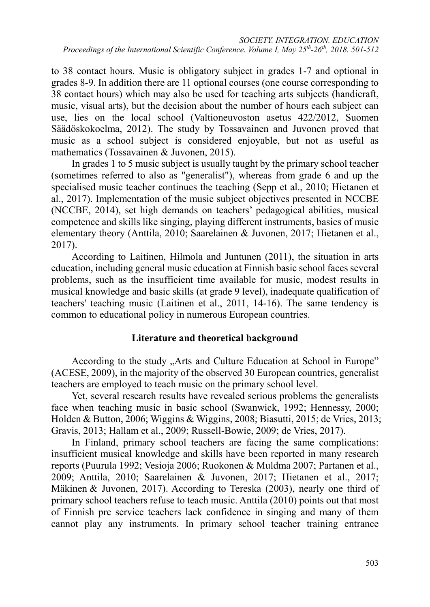to 38 contact hours. Music is obligatory subject in grades 1-7 and optional in grades 8-9. In addition there are 11 optional courses (one course corresponding to 38 contact hours) which may also be used for teaching arts subjects (handicraft, music, visual arts), but the decision about the number of hours each subject can use, lies on the local school (Valtioneuvoston asetus 422/2012, Suomen Säädöskokoelma, 2012). The study by Tossavainen and Juvonen proved that music as a school subject is considered enjoyable, but not as useful as mathematics (Tossavainen & Juvonen, 2015).

In grades 1 to 5 music subject is usually taught by the primary school teacher (sometimes referred to also as "generalist"), whereas from grade 6 and up the specialised music teacher continues the teaching (Sepp et al., 2010; Hietanen et al., 2017). Implementation of the music subject objectives presented in NCCBE (NCCBE, 2014), set high demands on teachers' pedagogical abilities, musical competence and skills like singing, playing different instruments, basics of music elementary theory (Anttila, 2010; Saarelainen & Juvonen, 2017; Hietanen et al., 2017).

According to Laitinen, Hilmola and Juntunen (2011), the situation in arts education, including general music education at Finnish basic school faces several problems, such as the insufficient time available for music, modest results in musical knowledge and basic skills (at grade 9 level), inadequate qualification of teachers' teaching music (Laitinen et al., 2011, 14-16). The same tendency is common to educational policy in numerous European countries.

## **Literature and theoretical background**

According to the study "Arts and Culture Education at School in Europe" (ACESE, 2009), in the majority of the observed 30 European countries, generalist teachers are employed to teach music on the primary school level.

Yet, several research results have revealed serious problems the generalists face when teaching music in basic school (Swanwick, 1992; Hennessy, 2000; Holden & Button, 2006; Wiggins & Wiggins, 2008; Biasutti, 2015; de Vries, 2013; Gravis, 2013; Hallam et al., 2009; Russell-Bowie, 2009; de Vries, 2017).

In Finland, primary school teachers are facing the same complications: insufficient musical knowledge and skills have been reported in many research reports (Puurula 1992; Vesioja 2006; Ruokonen & Muldma 2007; Partanen et al., 2009; Anttila, 2010; Saarelainen & Juvonen, 2017; Hietanen et al., 2017; Mäkinen & Juvonen, 2017). According to Tereska (2003), nearly one third of primary school teachers refuse to teach music. Anttila (2010) points out that most of Finnish pre service teachers lack confidence in singing and many of them cannot play any instruments. In primary school teacher training entrance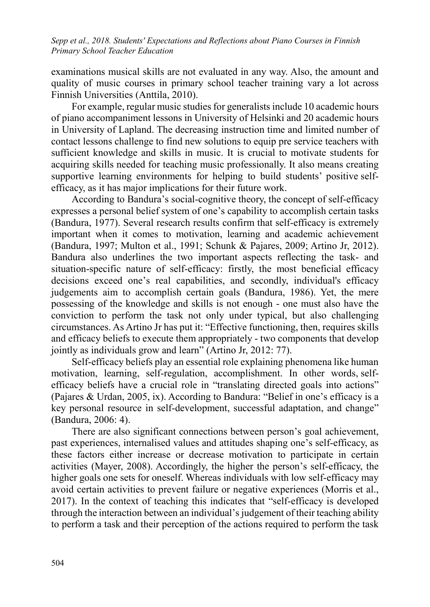examinations musical skills are not evaluated in any way. Also, the amount and quality of music courses in primary school teacher training vary a lot across Finnish Universities (Anttila, 2010).

For example, regular music studies for generalists include 10 academic hours of piano accompaniment lessons in University of Helsinki and 20 academic hours in University of Lapland. The decreasing instruction time and limited number of contact lessons challenge to find new solutions to equip pre service teachers with sufficient knowledge and skills in music. It is crucial to motivate students for acquiring skills needed for teaching music professionally. It also means creating supportive learning environments for helping to build students' positive selfefficacy, as it has major implications for their future work.

According to Bandura's social-cognitive theory, the concept of self-efficacy expresses a personal belief system of one's capability to accomplish certain tasks (Bandura, 1977). Several research results confirm that self-efficacy is extremely important when it comes to motivation, learning and academic achievement (Bandura, 1997; Multon et al., 1991; Schunk & Pajares, 2009; Artino Jr, 2012). Bandura also underlines the two important aspects reflecting the task- and situation-specific nature of self-efficacy: firstly, the most beneficial efficacy decisions exceed one's real capabilities, and secondly, individual's efficacy judgements aim to accomplish certain goals (Bandura, 1986). Yet, the mere possessing of the knowledge and skills is not enough - one must also have the conviction to perform the task not only under typical, but also challenging circumstances. As Artino Jr has put it: "Effective functioning, then, requires skills and efficacy beliefs to execute them appropriately - two components that develop jointly as individuals grow and learn" (Artino Jr, 2012: 77).

Self-efficacy beliefs play an essential role explaining phenomena like human motivation, learning, self-regulation, accomplishment. In other words, selfefficacy beliefs have a crucial role in "translating directed goals into actions" (Pajares & Urdan, 2005, ix). According to Bandura: "Belief in one's efficacy is a key personal resource in self-development, successful adaptation, and change" (Bandura, 2006: 4).

There are also significant connections between person's goal achievement, past experiences, internalised values and attitudes shaping one's self-efficacy, as these factors either increase or decrease motivation to participate in certain activities (Mayer, 2008). Accordingly, the higher the person's self-efficacy, the higher goals one sets for oneself. Whereas individuals with low self-efficacy may avoid certain activities to prevent failure or negative experiences (Morris et al., 2017). In the context of teaching this indicates that "self-efficacy is developed through the interaction between an individual's judgement of their teaching ability to perform a task and their perception of the actions required to perform the task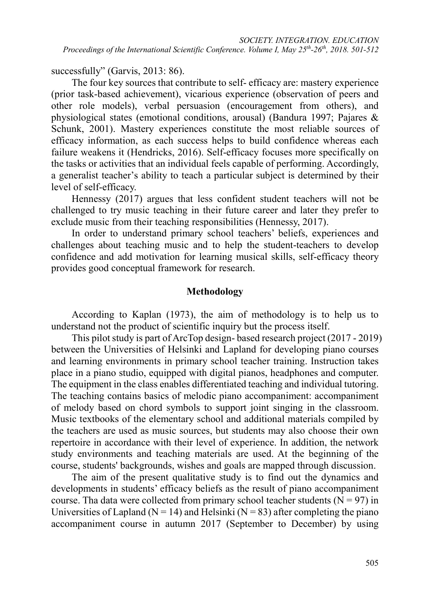successfully" (Garvis, 2013: 86).

The four key sources that contribute to self- efficacy are: mastery experience (prior task-based achievement), vicarious experience (observation of peers and other role models), verbal persuasion (encouragement from others), and physiological states (emotional conditions, arousal) (Bandura 1997; Pajares & Schunk, 2001). Mastery experiences constitute the most reliable sources of efficacy information, as each success helps to build confidence whereas each failure weakens it (Hendricks, 2016). Self-efficacy focuses more specifically on the tasks or activities that an individual feels capable of performing. Accordingly, a generalist teacher's ability to teach a particular subject is determined by their level of self-efficacy.

Hennessy (2017) argues that less confident student teachers will not be challenged to try music teaching in their future career and later they prefer to exclude music from their teaching responsibilities (Hennessy, 2017).

In order to understand primary school teachers' beliefs, experiences and challenges about teaching music and to help the student-teachers to develop confidence and add motivation for learning musical skills, self-efficacy theory provides good conceptual framework for research.

### **Methodology**

According to Kaplan (1973), the aim of methodology is to help us to understand not the product of scientific inquiry but the process itself.

This pilot study is part of ArcTop design- based research project (2017 - 2019) between the Universities of Helsinki and Lapland for developing piano courses and learning environments in primary school teacher training. Instruction takes place in a piano studio, equipped with digital pianos, headphones and computer. The equipment in the class enables differentiated teaching and individual tutoring. The teaching contains basics of melodic piano accompaniment: accompaniment of melody based on chord symbols to support joint singing in the classroom. Music textbooks of the elementary school and additional materials compiled by the teachers are used as music sources, but students may also choose their own repertoire in accordance with their level of experience. In addition, the network study environments and teaching materials are used. At the beginning of the course, students' backgrounds, wishes and goals are mapped through discussion.

The aim of the present qualitative study is to find out the dynamics and developments in students' efficacy beliefs as the result of piano accompaniment course. Tha data were collected from primary school teacher students  $(N = 97)$  in Universities of Lapland ( $N = 14$ ) and Helsinki ( $N = 83$ ) after completing the piano accompaniment course in autumn 2017 (September to December) by using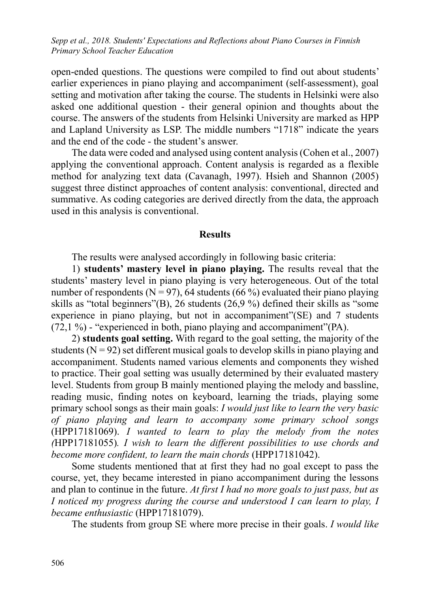open-ended questions. The questions were compiled to find out about students' earlier experiences in piano playing and accompaniment (self-assessment), goal setting and motivation after taking the course. The students in Helsinki were also asked one additional question - their general opinion and thoughts about the course. The answers of the students from Helsinki University are marked as HPP and Lapland University as LSP. The middle numbers "1718" indicate the years and the end of the code - the student's answer.

The data were coded and analysed using content analysis (Cohen et al., 2007) applying the conventional approach. Content analysis is regarded as a flexible method for analyzing text data (Cavanagh, 1997). Hsieh and Shannon (2005) suggest three distinct approaches of content analysis: conventional, directed and summative. As coding categories are derived directly from the data, the approach used in this analysis is conventional.

#### **Results**

The results were analysed accordingly in following basic criteria:

1) **students' mastery level in piano playing.** The results reveal that the students' mastery level in piano playing is very heterogeneous. Out of the total number of respondents ( $N = 97$ ), 64 students (66 %) evaluated their piano playing skills as "total beginners"(B), 26 students (26,9 %) defined their skills as "some experience in piano playing, but not in accompaniment"(SE) and 7 students (72,1 %) - "experienced in both, piano playing and accompaniment"(PA).

2) **students goal setting.** With regard to the goal setting, the majority of the students  $(N = 92)$  set different musical goals to develop skills in piano playing and accompaniment. Students named various elements and components they wished to practice. Their goal setting was usually determined by their evaluated mastery level. Students from group B mainly mentioned playing the melody and bassline, reading music, finding notes on keyboard, learning the triads, playing some primary school songs as their main goals: *I would just like to learn the very basic of piano playing and learn to accompany some primary school songs*  (HPP17181069). *I wanted to learn to play the melody from the notes (*HPP17181055)*. I wish to learn the different possibilities to use chords and become more confident, to learn the main chords* (HPP17181042).

Some students mentioned that at first they had no goal except to pass the course, yet, they became interested in piano accompaniment during the lessons and plan to continue in the future. *At first I had no more goals to just pass, but as I noticed my progress during the course and understood I can learn to play, I became enthusiastic* (HPP17181079).

The students from group SE where more precise in their goals. *I would like*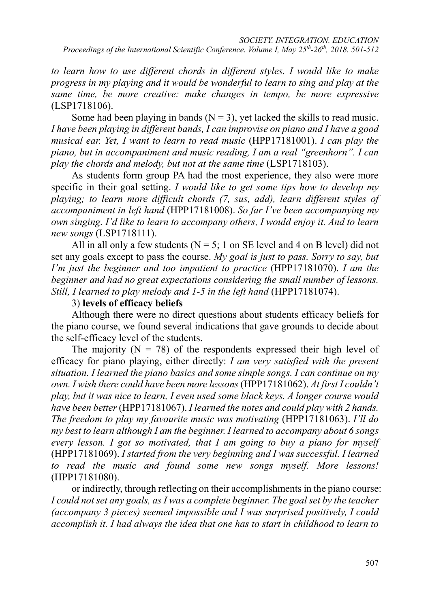*to learn how to use different chords in different styles. I would like to make progress in my playing and it would be wonderful to learn to sing and play at the same time, be more creative: make changes in tempo, be more expressive*  (LSP1718106).

Some had been playing in bands ( $N = 3$ ), yet lacked the skills to read music. *I have been playing in different bands, I can improvise on piano and I have a good musical ear. Yet, I want to learn to read music* (HPP17181001). *I can play the piano, but in accompaniment and music reading, I am a real "greenhorn". I can play the chords and melody, but not at the same time* (LSP1718103).

As students form group PA had the most experience, they also were more specific in their goal setting. *I would like to get some tips how to develop my playing; to learn more difficult chords (7, sus, add), learn different styles of accompaniment in left hand* (HPP17181008). *So far I've been accompanying my own singing. I'd like to learn to accompany others, I would enjoy it. And to learn new songs* (LSP1718111).

All in all only a few students ( $N = 5$ ; 1 on SE level and 4 on B level) did not set any goals except to pass the course. *My goal is just to pass. Sorry to say, but I'm just the beginner and too impatient to practice* (HPP17181070). *I am the beginner and had no great expectations considering the small number of lessons. Still, I learned to play melody and 1-5 in the left hand (HPP17181074).* 

### 3) **levels of efficacy beliefs**

Although there were no direct questions about students efficacy beliefs for the piano course, we found several indications that gave grounds to decide about the self-efficacy level of the students.

The majority ( $N = 78$ ) of the respondents expressed their high level of efficacy for piano playing, either directly: *I am very satisfied with the present situation. I learned the piano basics and some simple songs. I can continue on my own. I wish there could have been more lessons*(HPP17181062). *At first I couldn't play, but it was nice to learn, I even used some black keys. A longer course would have been better*(HPP17181067). *I learned the notes and could play with 2 hands. The freedom to play my favourite music was motivating* (HPP17181063). *I'll do my best to learn although I am the beginner. I learned to accompany about 6 songs every lesson. I got so motivated, that I am going to buy a piano for myself*  (HPP17181069). *I started from the very beginning and I was successful. I learned to read the music and found some new songs myself. More lessons!* (HPP17181080).

or indirectly, through reflecting on their accomplishments in the piano course: *I could not set any goals, as I was a complete beginner. The goal set by the teacher (accompany 3 pieces) seemed impossible and I was surprised positively, I could accomplish it. I had always the idea that one has to start in childhood to learn to*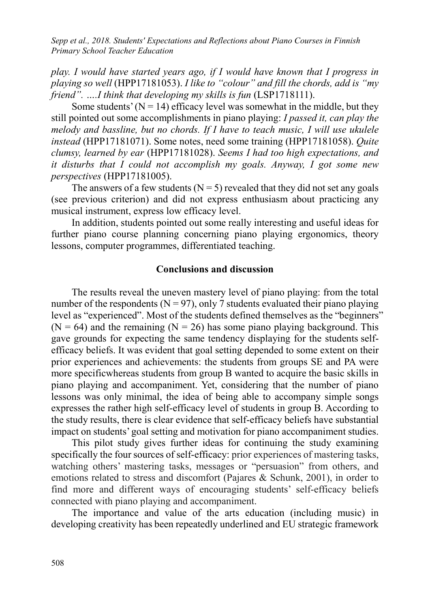*play. I would have started years ago, if I would have known that I progress in playing so well* (HPP17181053). *I like to "colour" and fill the chords, add is "my friend". ….I think that developing my skills is fun* (LSP1718111).

Some students' ( $N = 14$ ) efficacy level was somewhat in the middle, but they still pointed out some accomplishments in piano playing: *I passed it, can play the melody and bassline, but no chords. If I have to teach music, I will use ukulele instead* (HPP17181071). Some notes, need some training (HPP17181058). *Quite clumsy, learned by ear* (HPP17181028). *Seems I had too high expectations, and it disturbs that I could not accomplish my goals. Anyway, I got some new perspectives* (HPP17181005).

The answers of a few students  $(N = 5)$  revealed that they did not set any goals (see previous criterion) and did not express enthusiasm about practicing any musical instrument, express low efficacy level.

In addition, students pointed out some really interesting and useful ideas for further piano course planning concerning piano playing ergonomics, theory lessons, computer programmes, differentiated teaching.

#### **Conclusions and discussion**

The results reveal the uneven mastery level of piano playing: from the total number of the respondents ( $N = 97$ ), only 7 students evaluated their piano playing level as "experienced". Most of the students defined themselves as the "beginners"  $(N = 64)$  and the remaining  $(N = 26)$  has some piano playing background. This gave grounds for expecting the same tendency displaying for the students selfefficacy beliefs. It was evident that goal setting depended to some extent on their prior experiences and achievements: the students from groups SE and PA were more specificwhereas students from group B wanted to acquire the basic skills in piano playing and accompaniment. Yet, considering that the number of piano lessons was only minimal, the idea of being able to accompany simple songs expresses the rather high self-efficacy level of students in group B. According to the study results, there is clear evidence that self-efficacy beliefs have substantial impact on students' goal setting and motivation for piano accompaniment studies.

This pilot study gives further ideas for continuing the study examining specifically the four sources of self-efficacy: prior experiences of mastering tasks, watching others' mastering tasks, messages or "persuasion" from others, and emotions related to stress and discomfort (Pajares & Schunk, 2001), in order to find more and different ways of encouraging students' self-efficacy beliefs connected with piano playing and accompaniment.

The importance and value of the arts education (including music) in developing creativity has been repeatedly underlined and EU strategic framework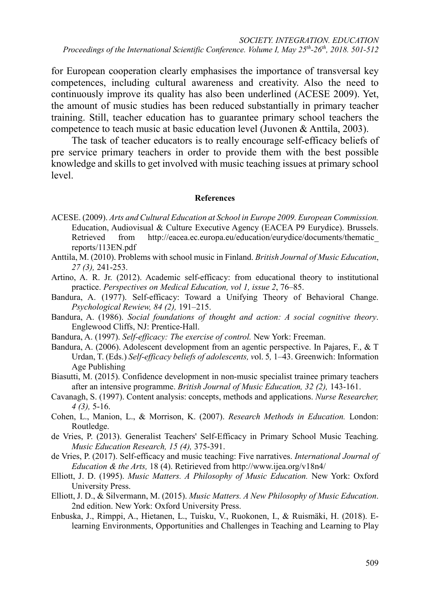for European cooperation clearly emphasises the importance of transversal key competences, including cultural awareness and creativity. Also the need to continuously improve its quality has also been underlined (ACESE 2009). Yet, the amount of music studies has been reduced substantially in primary teacher training. Still, teacher education has to guarantee primary school teachers the competence to teach music at basic education level (Juvonen & Anttila, 2003).

The task of teacher educators is to really encourage self-efficacy beliefs of pre service primary teachers in order to provide them with the best possible knowledge and skills to get involved with music teaching issues at primary school level.

#### **References**

- ACESE. (2009). *Arts and Cultural Education at School in Europe 2009. European Commission.*  Education, Audiovisual & Culture Executive Agency (EACEA P9 Eurydice). Brussels. Retrieved from http://eacea.ec.europa.eu/education/eurydice/documents/thematic [reports/113EN.pdf](http://eacea.ec.europa.eu/education/eurydice/documents/thematic_reports/113EN.pdf)
- Anttila, M. (2010). Problems with school music in Finland. *British Journal of Music Education*, *27 (3),* 241-253.
- Artino, A. R. Jr. (2012). Academic self-efficacy: from educational theory to institutional practice. *Perspectives on Medical Education, vol 1, issue 2*, 76–85.
- Bandura, A. (1977). Self-efficacy: Toward a Unifying Theory of Behavioral Change. *Psychological Rewiew, 84 (2),* 191–215.
- Bandura, A. (1986). *Social foundations of thought and action: A social cognitive theory*. Englewood Cliffs, NJ: Prentice-Hall.
- Bandura, A. (1997). *Self-efficacy: The exercise of control.* New York: Freeman.
- Bandura, A. (2006). Adolescent development from an agentic perspective. In Pajares, F., & T Urdan, T. (Eds.) *Self-efficacy beliefs of adolescents, v*ol. 5*,* 1–43. Greenwich: Information Age Publishing
- Biasutti, M. (2015). Confidence development in non-music specialist trainee primary teachers after an intensive programme. *British Journal of Music Education, 32 (2),* 143-161.
- Cavanagh, S. (1997). Content analysis: concepts, methods and applications. *Nurse Researcher, 4 (3),* 5-16.
- Cohen, L., Manion, L., & Morrison, K. (2007). *Research Methods in Education.* London: Routledge.
- de Vries, P. (2013). Generalist Teachers' Self-Efficacy in Primary School Music Teaching. *Music Education Research, 15 (4),* 375-391.
- de Vries, P. (2017). Self-efficacy and music teaching: Five narratives. *International Journal of Education & the Arts,* 18 (4). Retirieved from<http://www.ijea.org/v18n4/>
- Elliott, J. D. (1995). *Music Matters. A Philosophy of Music Education.* New York: Oxford University Press.
- Elliott, J. D., & Silvermann, M. (2015). *Music Matters. A New Philosophy of Music Education*. 2nd edition. New York: Oxford University Press.
- Enbuska, J., Rimppi, A., Hietanen, L., Tuisku, V., Ruokonen, I., & Ruismäki, H. (2018). Elearning Environments, Opportunities and Challenges in Teaching and Learning to Play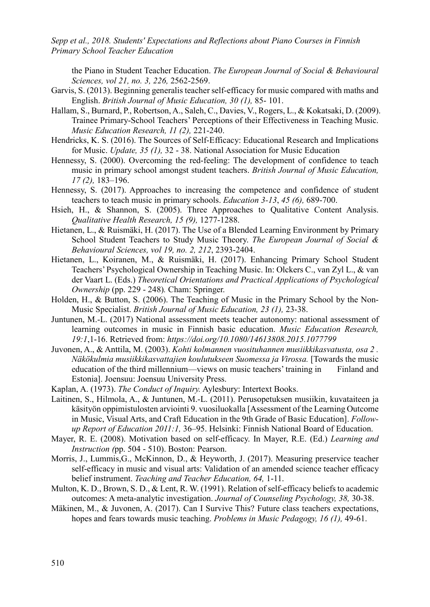the Piano in Student Teacher Education. *The European Journal of Social & Behavioural Sciences, vol 21, no. 3, 226,* 2562-2569.

- Garvis, S. (2013). Beginning generalis teacher self-efficacy for music compared with maths and English. *British Journal of Music Education, 30 (1),* 85- 101.
- Hallam, S., Burnard, P., Robertson, A., Saleh, C., Davies, V., Rogers, L., & Kokatsaki, D. (2009). Trainee Primary-School Teachers' Perceptions of their Effectiveness in Teaching Music. *Music Education Research, 11 (2),* 221-240.
- Hendricks, K. S. (2016). The Sources of Self-Efficacy: Educational Research and Implications for Music. *Update, 35 (1),* 32 - 38. National Association for Music Education
- Hennessy, S. (2000). Overcoming the red-feeling: The development of confidence to teach music in primary school amongst student teachers. *British Journal of Music Education, 17 (2),* 183–196.
- Hennessy, S. (2017). Approaches to increasing the competence and confidence of student teachers to teach music in primary schools. *Education 3-13*, *45 (6),* 689-700.
- Hsieh, H., & Shannon, S. (2005). Three Approaches to Qualitative Content Analysis. *Qualitative Health Research, 15 (9),* 1277-1288.
- Hietanen, L., & Ruismäki, H. (2017). The Use of a Blended Learning Environment by Primary School Student Teachers to Study Music Theory. *The European Journal of Social & Behavioural Sciences, vol 19, no. 2, 212*, 2393-2404.
- Hietanen, L., Koiranen, M., & Ruismäki, H. (2017). Enhancing Primary School Student Teachers' Psychological Ownership in Teaching Music. In: Olckers C., van Zyl L., & van der Vaart L. (Eds.) *Theoretical Orientations and Practical Applications of Psychological Ownership* (pp. 229 - 248)*.* Cham: Springer.
- Holden, H., & Button, S. (2006). The Teaching of Music in the Primary School by the Non-Music Specialist. *British Journal of Music Education, 23 (1),* 23-38.
- Juntunen, M.-L. (2017) National assessment meets teacher autonomy: national assessment of learning outcomes in music in Finnish basic education. *Music Education Research, 19:1*,1-16. Retrieved from: *<https://doi.org/10.1080/14613808.2015.1077799>*
- Juvonen, A., & Anttila, M. (2003). *Kohti kolmannen vuosituhannen musiikkikasvatusta, osa 2 . Näkökulmia musiikkikasvattajien koulutukseen Suomessa ja Virossa.* [Towards the music education of the third millennium—views on music teachers' training in Finland and Estonia]. Joensuu: Joensuu University Press.
- Kaplan, A. (1973). *The Conduct of Inquiry.* Aylesbury: Intertext Books.
- Laitinen, S., Hilmola, A., & Juntunen, M.-L. (2011). Perusopetuksen musiikin, kuvataiteen ja käsityön oppimistulosten arviointi 9. vuosiluokalla [Assessment of the Learning Outcome in Music, Visual Arts, and Craft Education in the 9th Grade of Basic Education]. *Followup Report of Education 2011:1,* 36–95. Helsinki: Finnish National Board of Education.
- Mayer, R. E. (2008). Motivation based on self-efficacy. In Mayer, R.E. (Ed.) *Learning and Instruction (*pp. 504 - 510). Boston: Pearson.
- Morris, J., Lummis,G., McKinnon, D., & Heyworth, J. (2017). Measuring preservice teacher self-efficacy in music and visual arts: Validation of an amended science teacher efficacy belief instrument. *Teaching and Teacher Education, 64,* 1-11.
- Multon, K. D., Brown, S. D., & Lent, R. W. (1991). Relation of self-efficacy beliefs to academic outcomes: A meta-analytic investigation. *Journal of Counseling Psychology, 38,* 30-38.
- Mäkinen, M., & Juvonen, A. (2017). Can I Survive This? Future class teachers expectations, hopes and fears towards music teaching. *Problems in Music Pedagogy, 16 (1),* 49-61.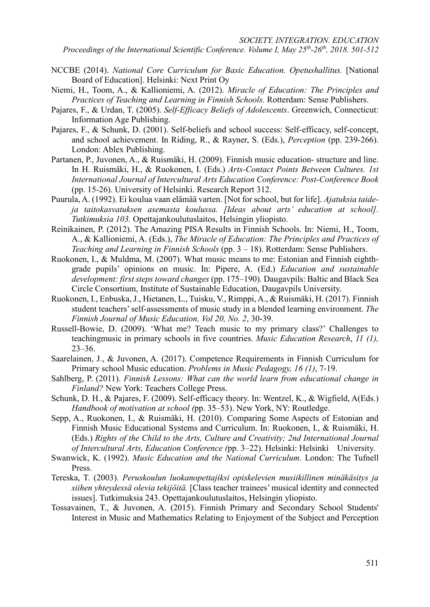*SOCIETY. INTEGRATION. EDUCATION* 

*Proceedings of the International Scientific Conference. Volume I, May 25th-26th, 2018. 501-512* 

- NCCBE (2014). *National Core Curriculum for Basic Education. Opetushallitus.* [National Board of Education]. Helsinki: Next Print Oy
- Niemi, H., Toom, A., & Kallioniemi, A. (2012). *Miracle of Education: The Principles and Practices of Teaching and Learning in Finnish Schools.* Rotterdam: Sense Publishers.
- Pajares, F., & Urdan, T. (2005). *Self-Efficacy Beliefs of Adolescents*. Greenwich, Connecticut: Information Age Publishing.
- Pajares, F., & Schunk, D. (2001). Self-beliefs and school success: Self-efficacy, self-concept, and school achievement. In Riding, R., & Rayner, S. (Eds.), *Perception* (pp. 239-266). London: Ablex Publishing.
- Partanen, P., Juvonen, A., & Ruismäki, H. (2009). Finnish music education- structure and line. In H. Ruismäki, H., & Ruokonen, I. (Eds.) *Arts-Contact Points Between Cultures. 1st International Journal of Intercultural Arts Education Conference: Post-Conference Book*  (pp. 15-26). University of Helsinki. Research Report 312.
- Puurula, A. (1992). Ei koulua vaan elämää varten. [Not for school, but for life]. *Ajatuksia taideja taitokasvatuksen asemasta koulussa. [Ideas about arts' education at school]. Tutkimuksia 103.* Opettajankoulutuslaitos, Helsingin yliopisto.
- Reinikainen, P. (2012). The Amazing PISA Results in Finnish Schools. In: Niemi, H., Toom, A., & Kallioniemi, A. (Eds.), *The Miracle of Education: The Principles and Practices of Teaching and Learning in Finnish Schools* (pp. 3 – 18). Rotterdam: Sense Publishers.
- Ruokonen, I., & Muldma, M. (2007). What music means to me: Estonian and Finnish eighthgrade pupils' opinions on music. In: Pipere, A. (Ed.) *Education and sustainable development: first steps toward changes* (pp. 175–190). Daugavpils: Baltic and Black Sea Circle Consortium, Institute of Sustainable Education, Daugavpils University.
- Ruokonen, I., Enbuska, J., Hietanen, L., Tuisku, V., Rimppi, A., & Ruismäki, H. (2017). Finnish student teachers' self-assessments of music study in a blended learning environment. *The Finnish Journal of Music Education, Vol 20, No. 2*, 30-39.
- Russell-Bowie, D. (2009). 'What me? Teach music to my primary class?' Challenges to teachingmusic in primary schools in five countries. *Music Education Research*, *11 (1),* 23–36.
- Saarelainen, J., & Juvonen, A. (2017). Competence Requirements in Finnish Curriculum for Primary school Music education. *Problems in Music Pedagogy, 16 (1)*, 7-19.
- Sahlberg, P. (2011). *Finnish Lessons: What can the world learn from educational change in Finland?* New York: Teachers College Press.
- Schunk, D. H., & Pajares, F. (2009). Self-efficacy theory. In: Wentzel, K., & Wigfield, A(Eds.) *Handbook of motivation at school (*pp. 35–53). New York, NY: Routledge.
- Sepp, A., Ruokonen, I., & Ruismäki, H. (2010). Comparing Some Aspects of Estonian and Finnish Music Educational Systems and Curriculum. In: Ruokonen, I., & Ruismäki, H. (Eds.) *Rights of the Child to the Arts, Culture and Creativity; 2nd International Journal of Intercultural Arts, Education Conference (*pp. 3–22). Helsinki: Helsinki University.
- Swanwick, K. (1992). *Music Education and the National Curriculum*. London: The Tufnell Press.
- Tereska, T. (2003). *Peruskoulun luokanopettajiksi opiskelevien musiikillinen minäkäsitys ja siihen yhteydessä olevia tekijöitä.* [Class teacher trainees' musical identity and connected issues]. Tutkimuksia 243. Opettajankoulutuslaitos, Helsingin yliopisto.
- Tossavainen, T., & Juvonen, A. (2015). Finnish Primary and Secondary School Students' Interest in Music and Mathematics Relating to Enjoyment of the Subject and Perception